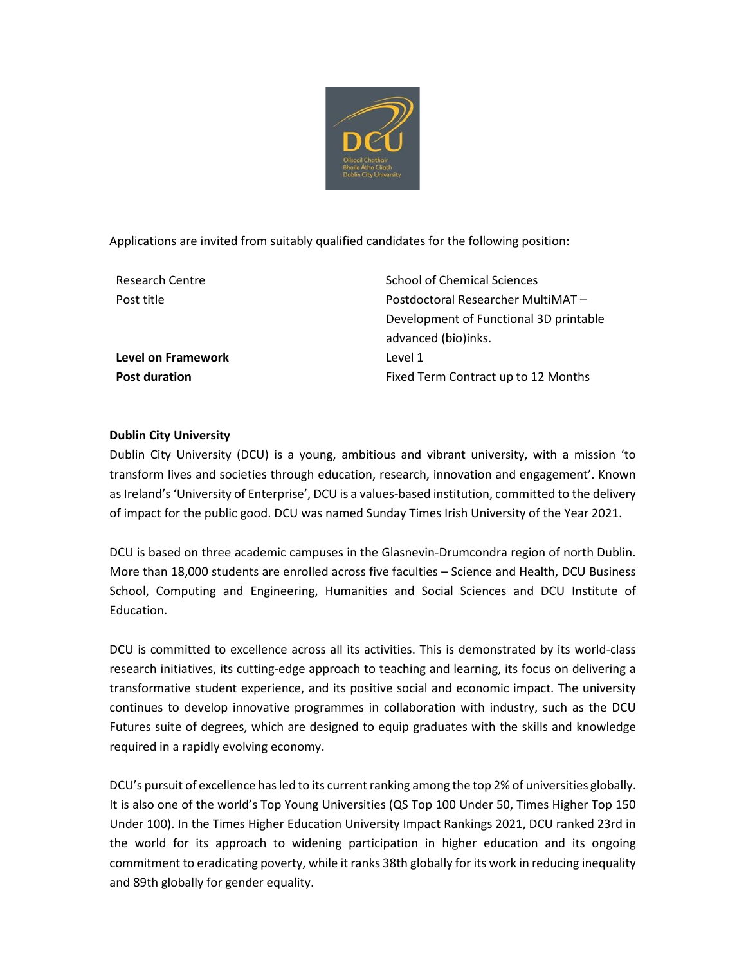

Applications are invited from suitably qualified candidates for the following position:

| <b>Research Centre</b> |  |
|------------------------|--|
| Post title             |  |

**Level on Framework Level 1** 

School of Chemical Sciences Postdoctoral Researcher MultiMAT – Development of Functional 3D printable advanced (bio)inks. **Post duration** Fixed Term Contract up to 12 Months

# **Dublin City University**

Dublin City University (DCU) is a young, ambitious and vibrant university, with a mission 'to transform lives and societies through education, research, innovation and engagement'. Known as Ireland's 'University of Enterprise', DCU is a values-based institution, committed to the delivery of impact for the public good. DCU was named Sunday Times Irish University of the Year 2021.

DCU is based on three academic campuses in the Glasnevin-Drumcondra region of north Dublin. More than 18,000 students are enrolled across five faculties – Science and Health, DCU Business School, Computing and Engineering, Humanities and Social Sciences and DCU Institute of Education.

DCU is committed to excellence across all its activities. This is demonstrated by its world-class research initiatives, its cutting-edge approach to teaching and learning, its focus on delivering a transformative student experience, and its positive social and economic impact. The university continues to develop innovative programmes in collaboration with industry, such as the DCU Futures suite of degrees, which are designed to equip graduates with the skills and knowledge required in a rapidly evolving economy.

DCU's pursuit of excellence has led to its current ranking among the top 2% of universities globally. It is also one of the world's Top Young Universities (QS Top 100 Under 50, Times Higher Top 150 Under 100). In the Times Higher Education University Impact Rankings 2021, DCU ranked 23rd in the world for its approach to widening participation in higher education and its ongoing commitment to eradicating poverty, while it ranks 38th globally for its work in reducing inequality and 89th globally for gender equality.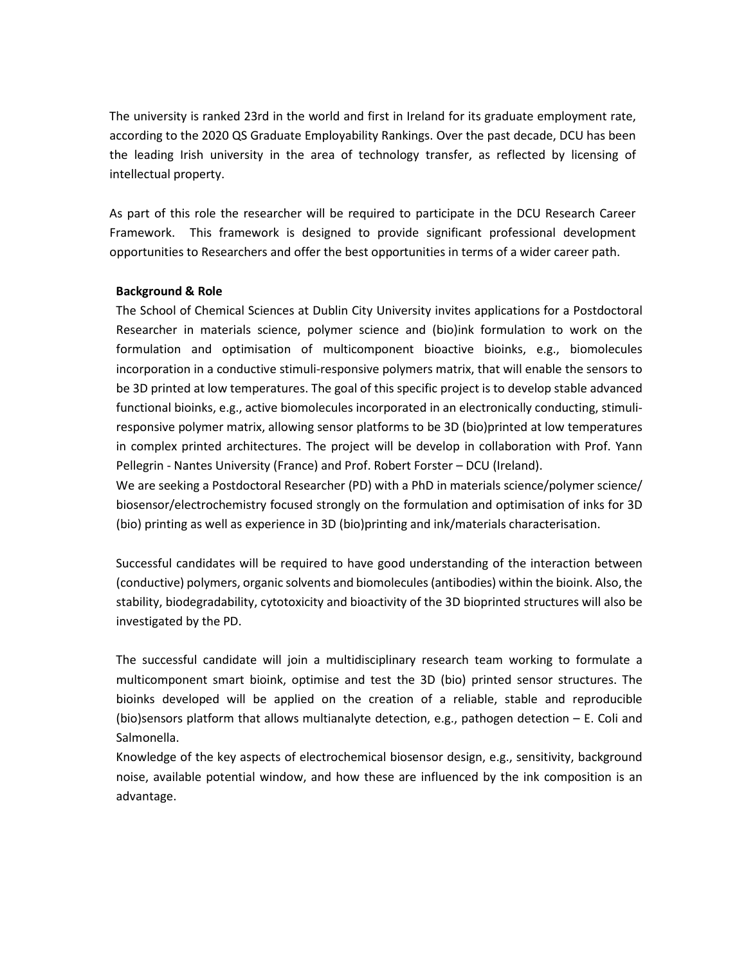The university is ranked 23rd in the world and first in Ireland for its graduate employment rate, according to the 2020 QS Graduate Employability Rankings. Over the past decade, DCU has been the leading Irish university in the area of technology transfer, as reflected by licensing of intellectual property.

As part of this role the researcher will be required to participate in the DCU Research Career Framework. This framework is designed to provide significant professional development opportunities to Researchers and offer the best opportunities in terms of a wider career path.

### **Background & Role**

The School of Chemical Sciences at Dublin City University invites applications for a Postdoctoral Researcher in materials science, polymer science and (bio)ink formulation to work on the formulation and optimisation of multicomponent bioactive bioinks, e.g., biomolecules incorporation in a conductive stimuli-responsive polymers matrix, that will enable the sensors to be 3D printed at low temperatures. The goal of this specific project is to develop stable advanced functional bioinks, e.g., active biomolecules incorporated in an electronically conducting, stimuliresponsive polymer matrix, allowing sensor platforms to be 3D (bio)printed at low temperatures in complex printed architectures. The project will be develop in collaboration with Prof. Yann Pellegrin - Nantes University (France) and Prof. Robert Forster – DCU (Ireland).

We are seeking a Postdoctoral Researcher (PD) with a PhD in materials science/polymer science/ biosensor/electrochemistry focused strongly on the formulation and optimisation of inks for 3D (bio) printing as well as experience in 3D (bio)printing and ink/materials characterisation.

Successful candidates will be required to have good understanding of the interaction between (conductive) polymers, organic solvents and biomolecules (antibodies) within the bioink. Also, the stability, biodegradability, cytotoxicity and bioactivity of the 3D bioprinted structures will also be investigated by the PD.

The successful candidate will join a multidisciplinary research team working to formulate a multicomponent smart bioink, optimise and test the 3D (bio) printed sensor structures. The bioinks developed will be applied on the creation of a reliable, stable and reproducible (bio)sensors platform that allows multianalyte detection, e.g., pathogen detection – E. Coli and Salmonella.

Knowledge of the key aspects of electrochemical biosensor design, e.g., sensitivity, background noise, available potential window, and how these are influenced by the ink composition is an advantage.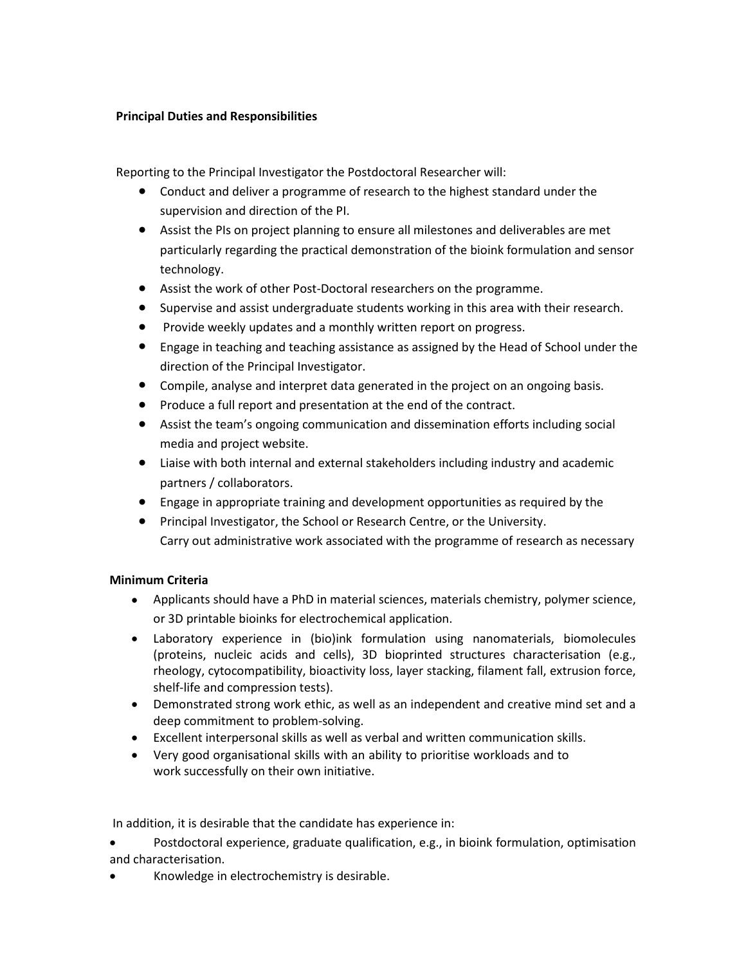## **Principal Duties and Responsibilities**

Reporting to the Principal Investigator the Postdoctoral Researcher will:

- Conduct and deliver a programme of research to the highest standard under the supervision and direction of the PI.
- Assist the PIs on project planning to ensure all milestones and deliverables are met particularly regarding the practical demonstration of the bioink formulation and sensor technology.
- Assist the work of other Post-Doctoral researchers on the programme.
- Supervise and assist undergraduate students working in this area with their research.
- Provide weekly updates and a monthly written report on progress.
- Engage in teaching and teaching assistance as assigned by the Head of School under the direction of the Principal Investigator.
- Compile, analyse and interpret data generated in the project on an ongoing basis.
- Produce a full report and presentation at the end of the contract.
- Assist the team's ongoing communication and dissemination efforts including social media and project website.
- Liaise with both internal and external stakeholders including industry and academic partners / collaborators.
- Engage in appropriate training and development opportunities as required by the
- Principal Investigator, the School or Research Centre, or the University. Carry out administrative work associated with the programme of research as necessary

# **Minimum Criteria**

- Applicants should have a PhD in material sciences, materials chemistry, polymer science, or 3D printable bioinks for electrochemical application.
- Laboratory experience in (bio)ink formulation using nanomaterials, biomolecules (proteins, nucleic acids and cells), 3D bioprinted structures characterisation (e.g., rheology, cytocompatibility, bioactivity loss, layer stacking, filament fall, extrusion force, shelf-life and compression tests).
- Demonstrated strong work ethic, as well as an independent and creative mind set and a deep commitment to problem-solving.
- Excellent interpersonal skills as well as verbal and written communication skills.
- Very good organisational skills with an ability to prioritise workloads and to work successfully on their own initiative.

In addition, it is desirable that the candidate has experience in:

- Postdoctoral experience, graduate qualification, e.g., in bioink formulation, optimisation and characterisation.
- Knowledge in electrochemistry is desirable.